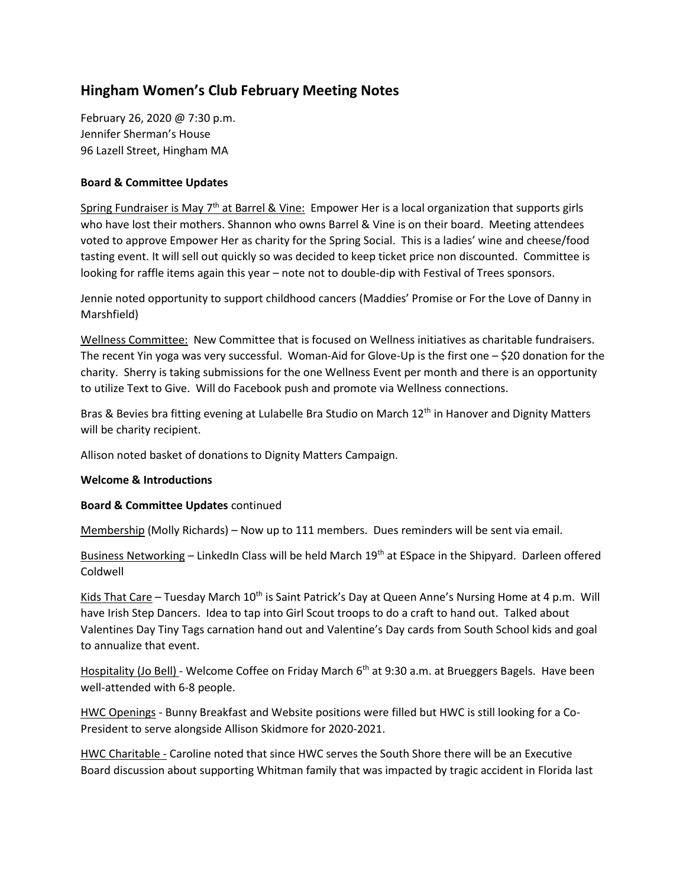## **Hingham Women's Club February Meeting Notes**

February 26, 2020 @ 7:30 p.m. Jennifer Sherman's House 96 Lazell Street, Hingham MA

## **Board & Committee Updates**

Spring Fundraiser is May 7<sup>th</sup> at Barrel & Vine: Empower Her is a local organization that supports girls who have lost their mothers. Shannon who owns Barrel & Vine is on their board. Meeting attendees voted to approve Empower Her as charity for the Spring Social. This is a ladies' wine and cheese/food tasting event. It will sell out quickly so was decided to keep ticket price non discounted. Committee is looking for raffle items again this year – note not to double-dip with Festival of Trees sponsors.

Jennie noted opportunity to support childhood cancers (Maddies' Promise or For the Love of Danny in Marshfield)

Wellness Committee: New Committee that is focused on Wellness initiatives as charitable fundraisers. The recent Yin yoga was very successful. Woman-Aid for Glove-Up is the first one  $-$  \$20 donation for the charity. Sherry is taking submissions for the one Wellness Event per month and there is an opportunity to utilize Text to Give. Will do Facebook push and promote via Wellness connections.

Bras & Bevies bra fitting evening at Lulabelle Bra Studio on March 12<sup>th</sup> in Hanover and Dignity Matters will be charity recipient.

Allison noted basket of donations to Dignity Matters Campaign.

## **Welcome & Introductions**

## **Board & Committee Updates** continued

Membership (Molly Richards) – Now up to 111 members. Dues reminders will be sent via email.

Business Networking – LinkedIn Class will be held March 19<sup>th</sup> at ESpace in the Shipyard. Darleen offered Coldwell

Kids That Care - Tuesday March 10<sup>th</sup> is Saint Patrick's Day at Queen Anne's Nursing Home at 4 p.m. Will have Irish Step Dancers. Idea to tap into Girl Scout troops to do a craft to hand out. Talked about Valentines Day Tiny Tags carnation hand out and Valentine's Day cards from South School kids and goal to annualize that event.

Hospitality (Jo Bell) - Welcome Coffee on Friday March 6<sup>th</sup> at 9:30 a.m. at Brueggers Bagels. Have been well-attended with 6-8 people.

HWC Openings - Bunny Breakfast and Website positions were filled but HWC is still looking for a Co-President to serve alongside Allison Skidmore for 2020-2021.

HWC Charitable - Caroline noted that since HWC serves the South Shore there will be an Executive Board discussion about supporting Whitman family that was impacted by tragic accident in Florida last